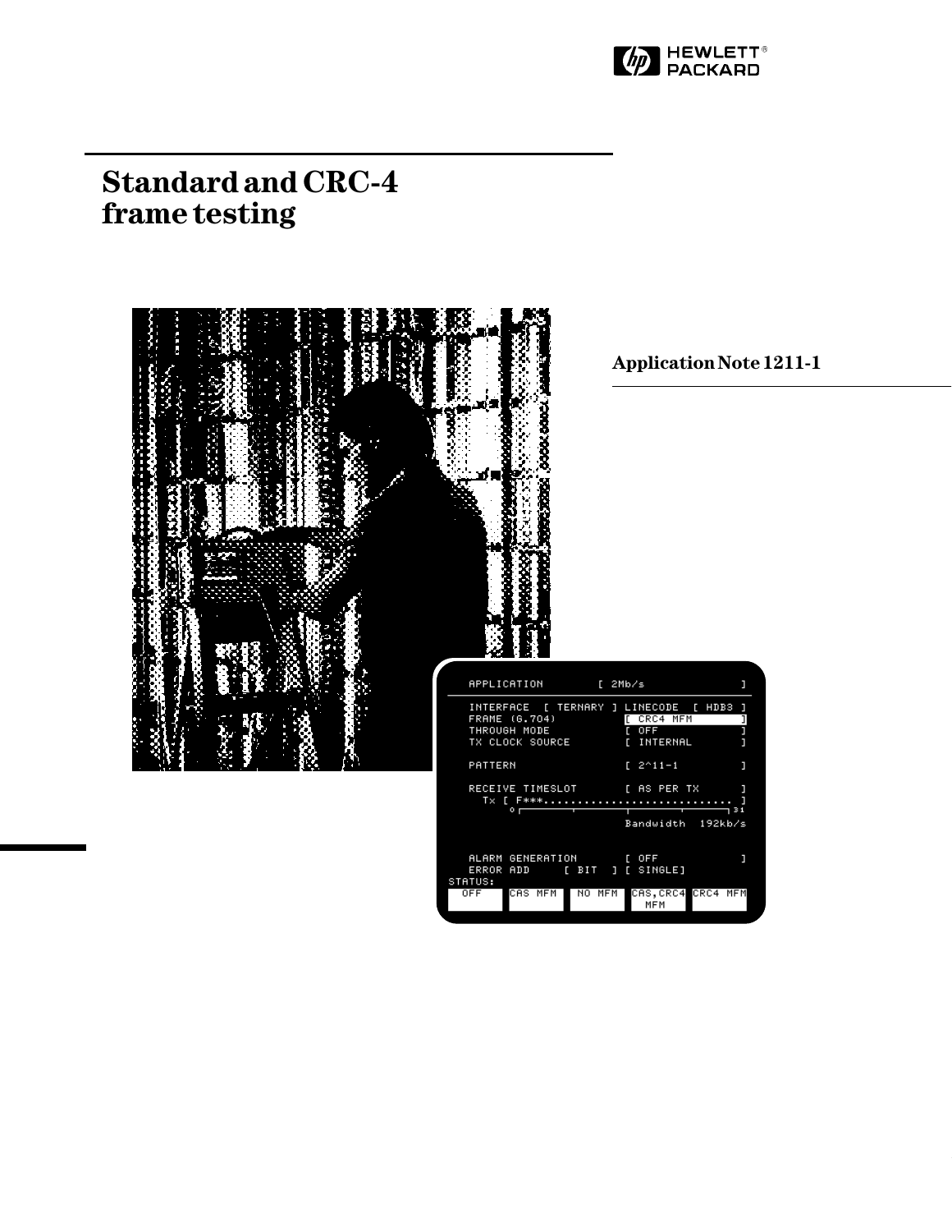

# **Standard and CRC-4 frame testing**



## **Application Note 1211-1**

|         | APPLICATION                                      |                  | ſ 2Mb/s                                                                        |                  |
|---------|--------------------------------------------------|------------------|--------------------------------------------------------------------------------|------------------|
|         | FRAME (6.704)<br>THROUGH MODE<br>TX CLOCK SOURCE |                  | INTERFACE   TERNARY 1 LINECODE   HDB3<br>CRC4 MFM<br>I.<br>[ OFF<br>[ INTERNAL | п<br>J<br>ī<br>ı |
| PATTERN |                                                  |                  | $12^{6}11-1$                                                                   | ٦                |
|         | $\circ$ $-$                                      | т                | RECEIVE TIMESLOT [ AS PER TX<br>$Tx \in F***$<br>╼<br>Bandwidth 192kb/s        | П<br>31          |
|         |                                                  |                  |                                                                                |                  |
| ERROR   | ALARM GENERATION [ OFF                           |                  | ADD [BIT ] [SINGLE]                                                            |                  |
| STATUS: |                                                  |                  |                                                                                |                  |
| 0FF     | CAS MFM                                          | N0<br><b>MFM</b> | CAS.CRC4 CRC4 MFM<br>MFM                                                       |                  |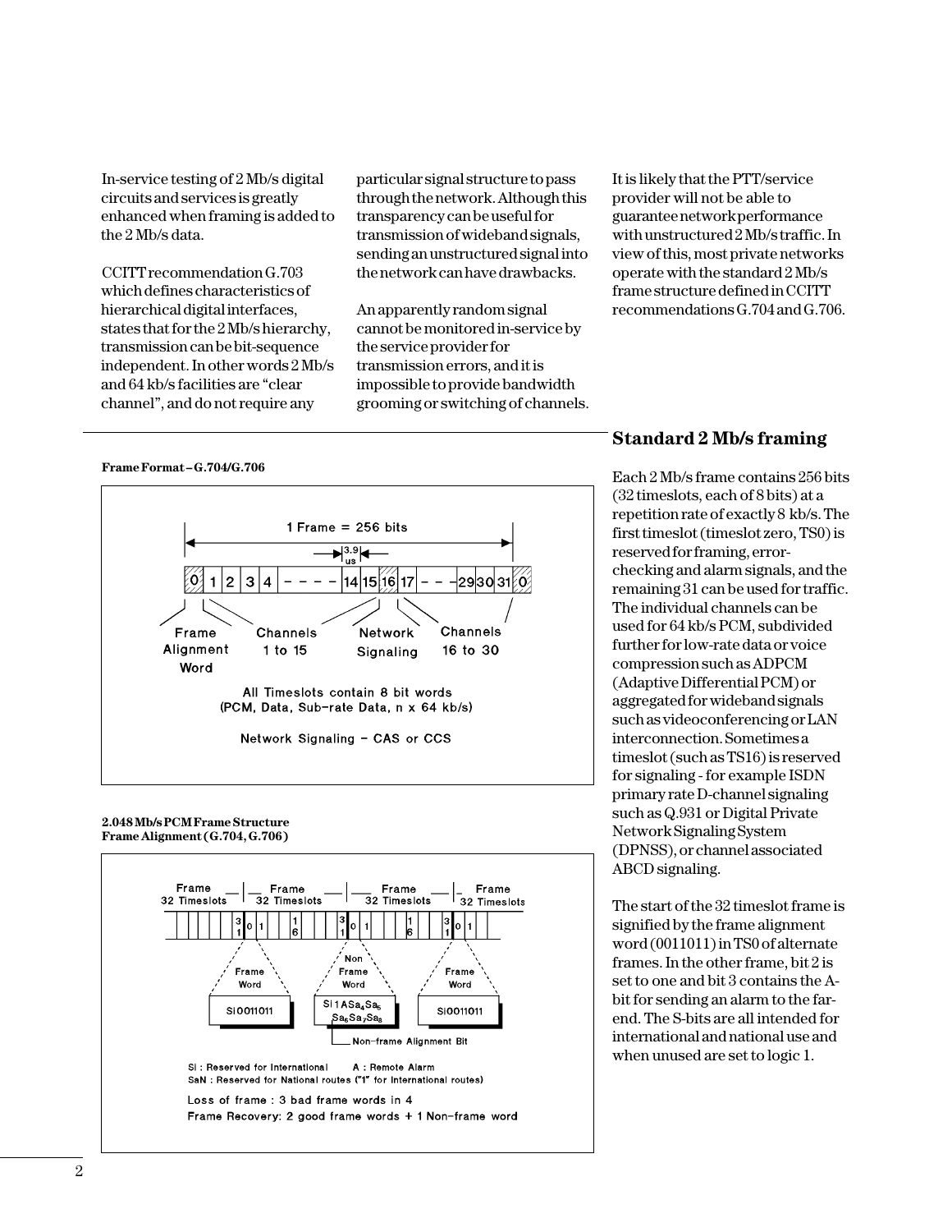In-service testing of 2 Mb/s digital circuits and services is greatly enhanced when framing is added to the 2 Mb/s data.

CCITT recommendation G.703 which defines characteristics of hierarchical digital interfaces, states that for the 2 Mb/s hierarchy, transmission can be bit-sequence independent. In other words 2 Mb/s and 64 kb/s facilities are "clear channel", and do not require any

particular signal structure to pass through the network. Although this transparency can be useful for transmission of wideband signals, sending an unstructured signal into the network can have drawbacks.

An apparently random signal cannot be monitored in-service by the service provider for transmission errors, and it is impossible to provide bandwidth grooming or switching of channels. It is likely that the PTT/service provider will not be able to guarantee network performance with unstructured 2 Mb/s traffic. In view of this, most private networks operate with the standard 2 Mb/s frame structure defined in CCITT recommendations G.704 and G.706.

#### **Frame Format – G.704/G.706**



#### **2.048 Mb/s PCM Frame Structure Frame Alignment (G.704, G.706)**



## **Standard 2 Mb/s framing**

Each 2 Mb/s frame contains 256 bits (32 timeslots, each of 8 bits) at a repetition rate of exactly 8 kb/s. The first timeslot (timeslot zero, TS0) is reserved for framing, errorchecking and alarm signals, and the remaining 31 can be used for traffic. The individual channels can be used for 64 kb/s PCM, subdivided further for low-rate data or voice compression such as ADPCM (Adaptive Differential PCM) or aggregated for wideband signals such as videoconferencing or LAN interconnection. Sometimes a timeslot (such as TS16) is reserved for signaling - for example ISDN primary rate D-channel signaling such as Q.931 or Digital Private Network Signaling System (DPNSS), or channel associated ABCD signaling.

The start of the 32 timeslot frame is signified by the frame alignment word (0011011) in TS0 of alternate frames. In the other frame, bit 2 is set to one and bit 3 contains the Abit for sending an alarm to the farend. The S-bits are all intended for international and national use and when unused are set to logic 1.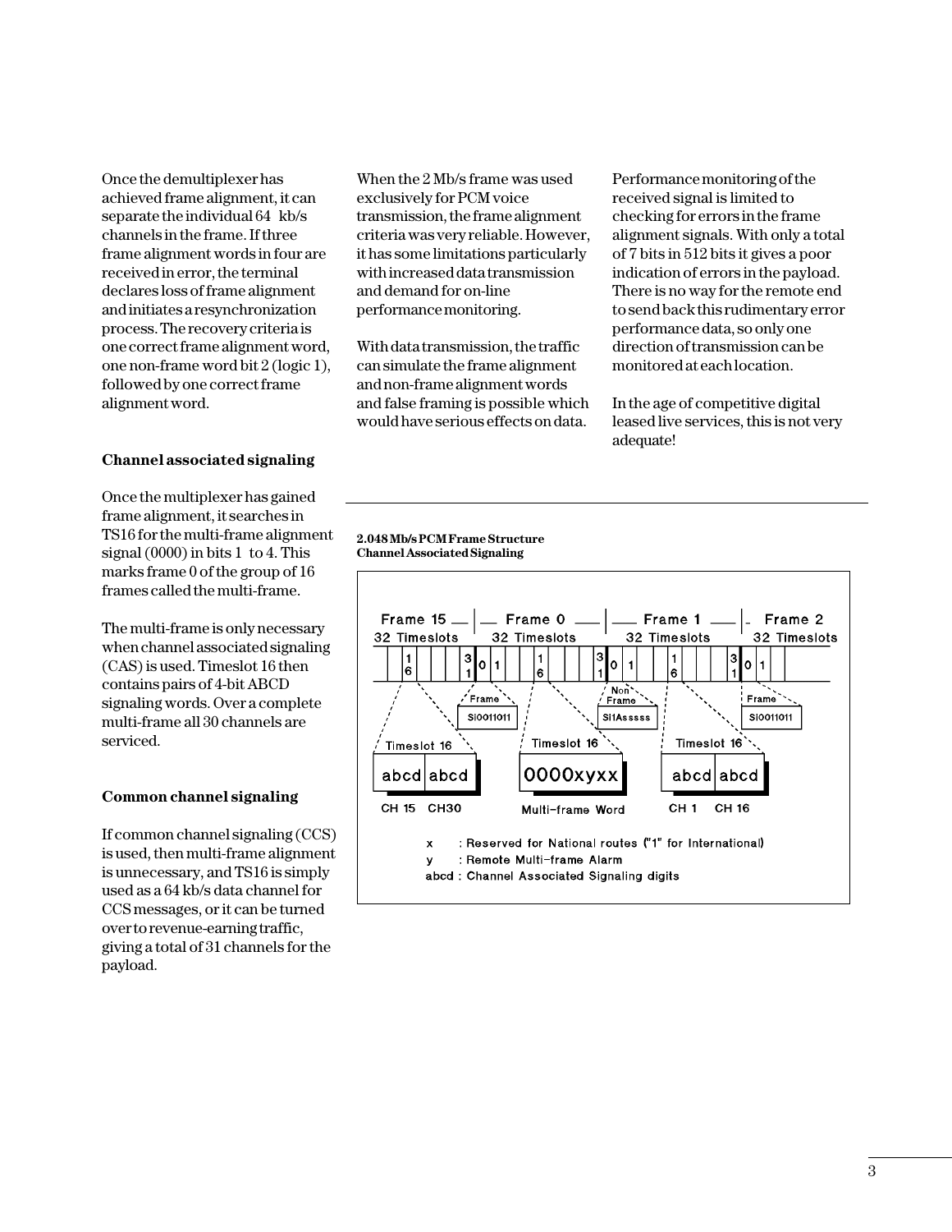Once the demultiplexer has achieved frame alignment, it can separate the individual 64 kb/s channels in the frame. If three frame alignment words in four are received in error, the terminal declares loss of frame alignment and initiates a resynchronization process. The recovery criteria is one correct frame alignment word, one non-frame word bit 2 (logic 1), followed by one correct frame alignment word.

## **Channel associated signaling**

Once the multiplexer has gained frame alignment, it searches in TS16 for the multi-frame alignment signal (0000) in bits 1 to 4. This marks frame 0 of the group of 16 frames called the multi-frame.

The multi-frame is only necessary when channel associated signaling (CAS) is used. Timeslot 16 then contains pairs of 4-bit ABCD signaling words. Over a complete multi-frame all 30 channels are serviced.

## **Common channel signaling**

If common channel signaling (CCS) is used, then multi-frame alignment is unnecessary, and TS16 is simply used as a 64 kb/s data channel for CCS messages, or it can be turned over to revenue-earning traffic, giving a total of 31 channels for the payload.

When the 2 Mb/s frame was used exclusively for PCM voice transmission, the frame alignment criteria was very reliable. However, it has some limitations particularly with increased data transmission and demand for on-line performance monitoring.

With data transmission, the traffic can simulate the frame alignment and non-frame alignment words and false framing is possible which would have serious effects on data.

Performance monitoring of the received signal is limited to checking for errors in the frame alignment signals. With only a total of 7 bits in 512 bits it gives a poor indication of errors in the payload. There is no way for the remote end to send back this rudimentary error performance data, so only one direction of transmission can be monitored at each location.

In the age of competitive digital leased live services, this is not very adequate!



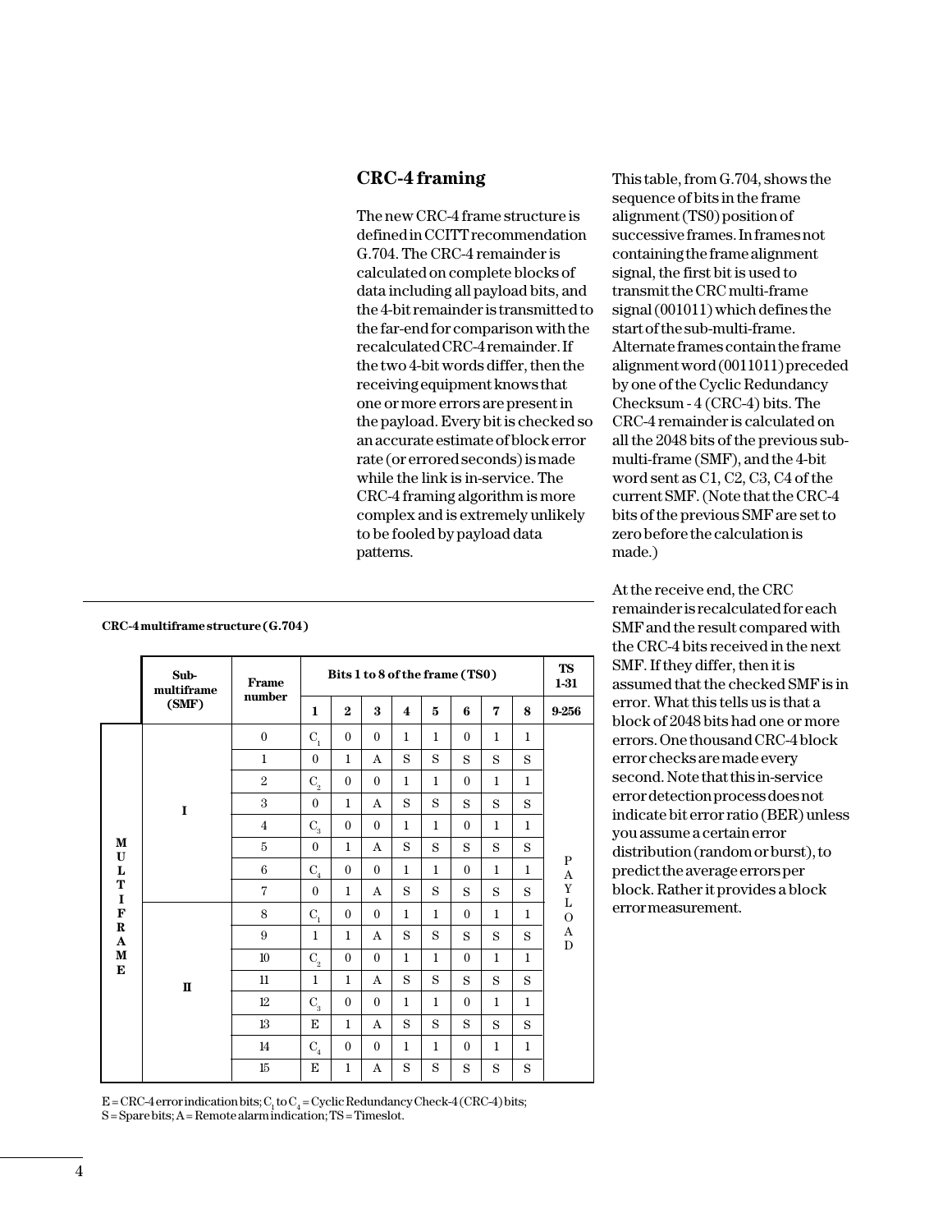## **CRC-4 framing**

The new CRC-4 frame structure is defined in CCITT recommendation G.704. The CRC-4 remainder is calculated on complete blocks of data including all payload bits, and the 4-bit remainder is transmitted to the far-end for comparison with the recalculated CRC-4 remainder. If the two 4-bit words differ, then the receiving equipment knows that one or more errors are present in the payload. Every bit is checked so an accurate estimate of block error rate (or errored seconds) is made while the link is in-service. The CRC-4 framing algorithm is more complex and is extremely unlikely to be fooled by payload data patterns.

**Bits 1 to 8 of the frame (TS0) TS**

**1-31 2 9-256**

> P  $\bf A$ Y L O A D

**8** 1 S 1 S 1 S 1 S 1 S 1 S 1 S 1 S

**7** 1 S 1 S 1 S 1 S 1 S 1 S 1 S 1 S

This table, from G.704, shows the sequence of bits in the frame alignment (TS0) position of successive frames. In frames not containing the frame alignment signal, the first bit is used to transmit the CRC multi-frame signal (001011) which defines the start of the sub-multi-frame. Alternate frames contain the frame alignment word (0011011) preceded by one of the Cyclic Redundancy Checksum - 4 (CRC-4) bits. The CRC-4 remainder is calculated on all the 2048 bits of the previous submulti-frame (SMF), and the 4-bit word sent as C1, C2, C3, C4 of the current SMF. (Note that the CRC-4 bits of the previous SMF are set to zero before the calculation is made.)

At the receive end, the CRC remainder is recalculated for each SMF and the result compared with the CRC-4 bits received in the next SMF. If they differ, then it is assumed that the checked SMF is in error. What this tells us is that a block of 2048 bits had one or more errors. One thousand CRC-4 block error checks are made every second. Note that this in-service error detection process does not indicate bit error ratio (BER) unless you assume a certain error distribution (random or burst), to predict the average errors per block. Rather it provides a block error measurement.

|                   | пшинтапе<br>(SMF) | number         |                       |              |              |   |              |                  |
|-------------------|-------------------|----------------|-----------------------|--------------|--------------|---|--------------|------------------|
|                   |                   |                | 1                     | $\bf{2}$     | 3            | 4 | 5            | 6                |
|                   | 1                 | $\theta$       | $\mathbf{C}_{_{\!1}}$ | $\mathbf{0}$ | $\mathbf{0}$ | 1 | 1            | $\boldsymbol{0}$ |
|                   |                   |                | $\boldsymbol{0}$      | 1            | A            | S | S            | S                |
|                   |                   | $\overline{2}$ | $\mathbf{C}_{\!2}$    | $\mathbf{0}$ | $\mathbf{0}$ | 1 | 1            | $\mathbf{0}$     |
|                   |                   | 3              | $\boldsymbol{0}$      | 1            | A            | S | S            | S                |
|                   |                   | 4              | $C_{3}$               | $\mathbf{0}$ | $\mathbf{0}$ | 1 | $\mathbf{1}$ | $\mathbf{0}$     |
| М<br>U            |                   | 5              | $\boldsymbol{0}$      | 1            | A            | S | S            | S                |
| L                 |                   | 6              | $C_{4}$               | $\mathbf{0}$ | $\mathbf{0}$ | 1 | 1            | $\mathbf{0}$     |
| т<br>$\mathbf{r}$ |                   |                | 0                     | 1            | A            | S | S            | S                |

**Frame**

#### **CRC-4 multiframe structure (G.704)**

**Submultiframe**

**II**

 $E = CRC-4$  error indication bits;  $C_1$  to  $C_4$  = Cyclic Redundancy Check-4 (CRC-4) bits; S = Spare bits; A = Remote alarm indication; TS = Timeslot.

0 A 0 A  $\boldsymbol{0}$ A 0 A 1 S 1 S 1 S 1 S 1 S 1 S 1 S 1 S

 $\overline{0}$ S 0 S 0 S 0 S

 $\overline{C}_1$ 1  $C_{2}$ 1  $C_{3}$ E  $C_{4}$ E

**I F R A M E**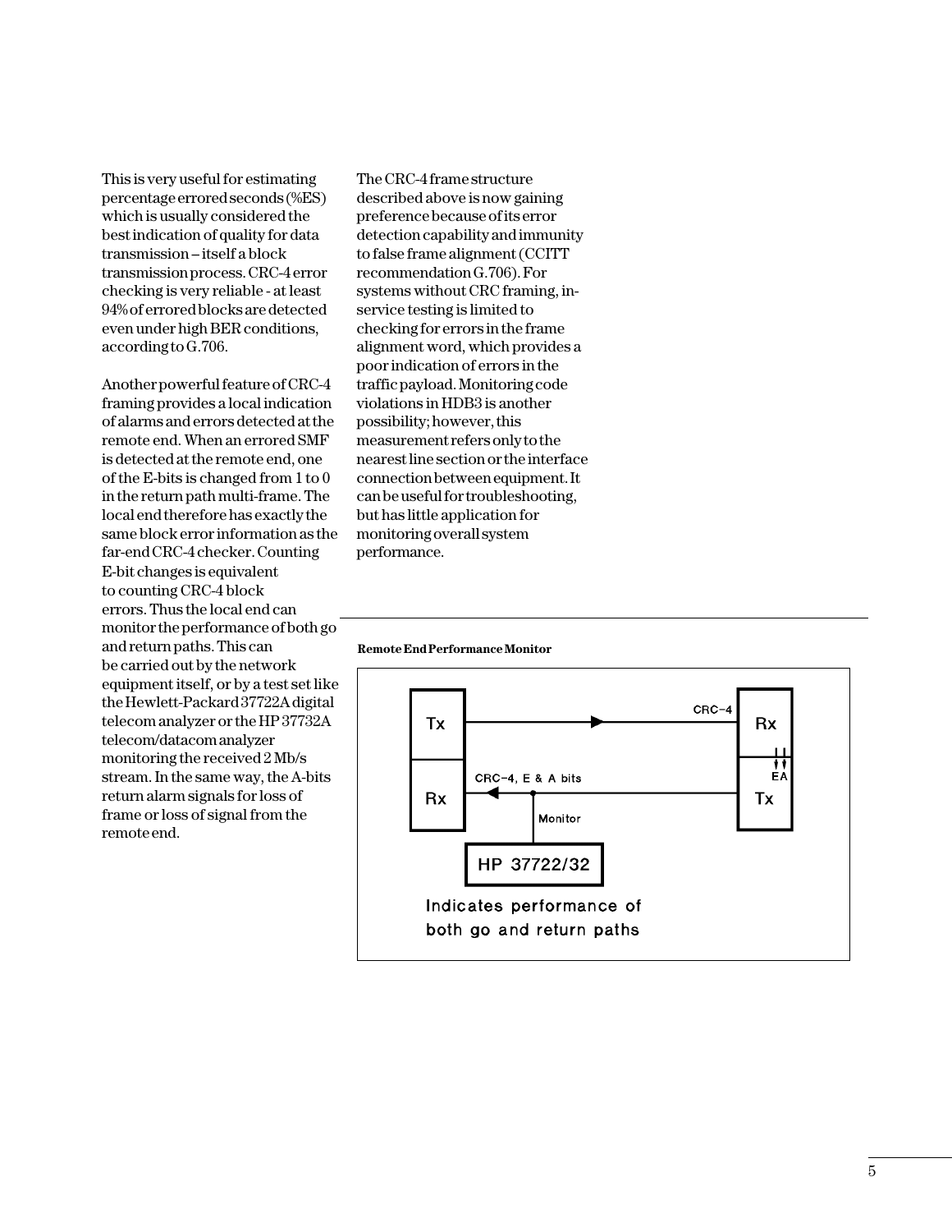This is very useful for estimating percentage errored seconds (%ES) which is usually considered the best indication of quality for data transmission – itself a block transmission process. CRC-4 error checking is very reliable - at least 94% of errored blocks are detected even under high BER conditions, according to G.706.

Another powerful feature of CRC-4 framing provides a local indication of alarms and errors detected at the remote end. When an errored SMF is detected at the remote end, one of the E-bits is changed from 1 to 0 in the return path multi-frame. The local end therefore has exactly the same block error information as the far-end CRC-4 checker. Counting E-bit changes is equivalent to counting CRC-4 block errors. Thus the local end can monitor the performance of both go and return paths. This can be carried out by the network equipment itself, or by a test set like the Hewlett-Packard 37722A digital telecom analyzer or the HP 37732A telecom/datacom analyzer monitoring the received 2 Mb/s stream. In the same way, the A-bits return alarm signals for loss of frame or loss of signal from the remote end.

The CRC-4 frame structure described above is now gaining preference because of its error detection capability and immunity to false frame alignment (CCITT recommendation G.706). For systems without CRC framing, inservice testing is limited to checking for errors in the frame alignment word, which provides a poor indication of errors in the traffic payload. Monitoring code violations in HDB3 is another possibility; however, this measurement refers only to the nearest line section or the interface connection between equipment. It can be useful for troubleshooting, but has little application for monitoring overall system performance.



**Remote End Performance Monitor**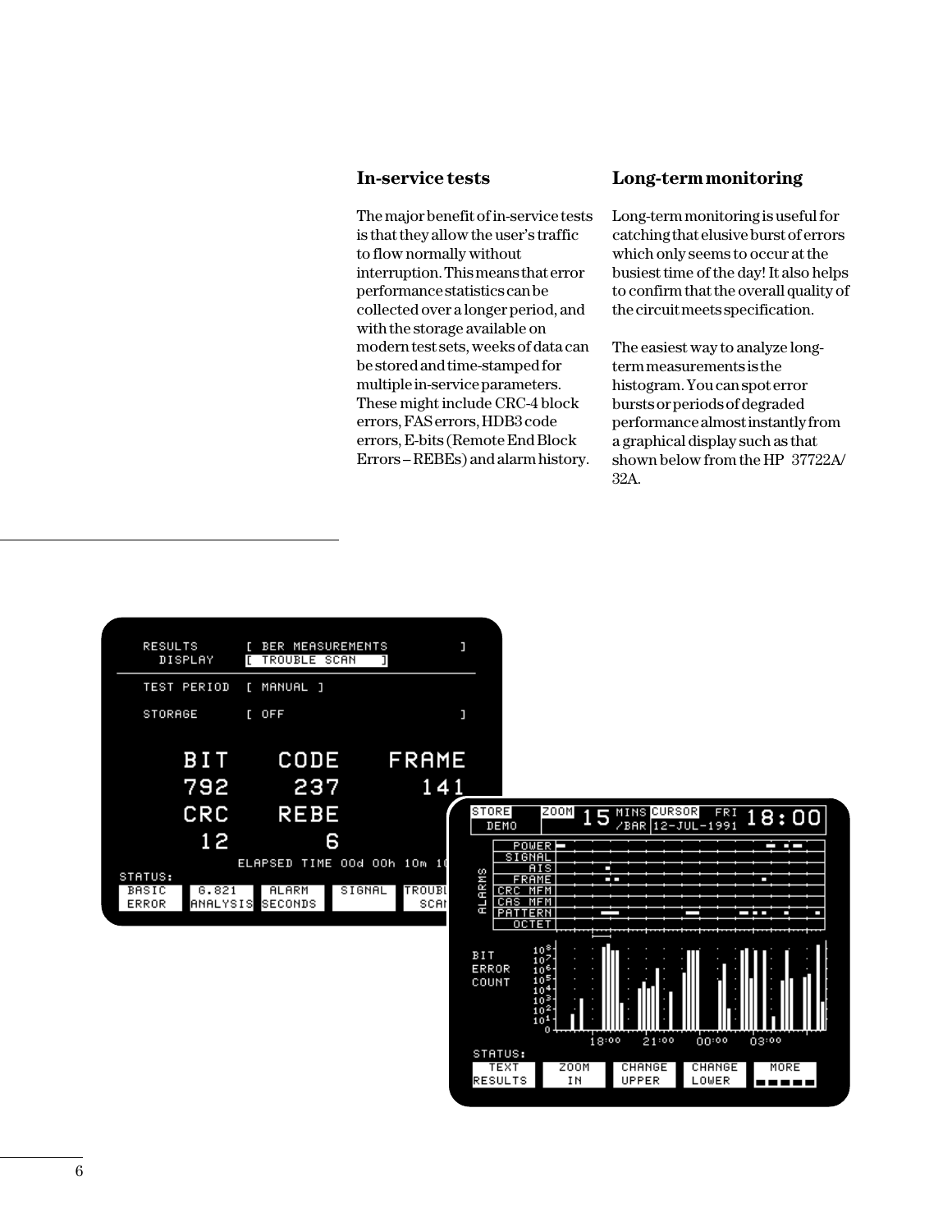## **In-service tests**

The major benefit of in-service tests is that they allow the user's traffic to flow normally without interruption. This means that error performance statistics can be collected over a longer period, and with the storage available on modern test sets, weeks of data can be stored and time-stamped for multiple in-service parameters. These might include CRC-4 block errors, FAS errors, HDB3 code errors, E-bits (Remote End Block Errors – REBEs) and alarm history.

## **Long-term monitoring**

Long-term monitoring is useful for catching that elusive burst of errors which only seems to occur at the busiest time of the day! It also helps to confirm that the overall quality of the circuit meets specification.

The easiest way to analyze longterm measurements is the histogram. You can spot error bursts or periods of degraded performance almost instantly from a graphical display such as that shown below from the HP 37722A/ 32A.

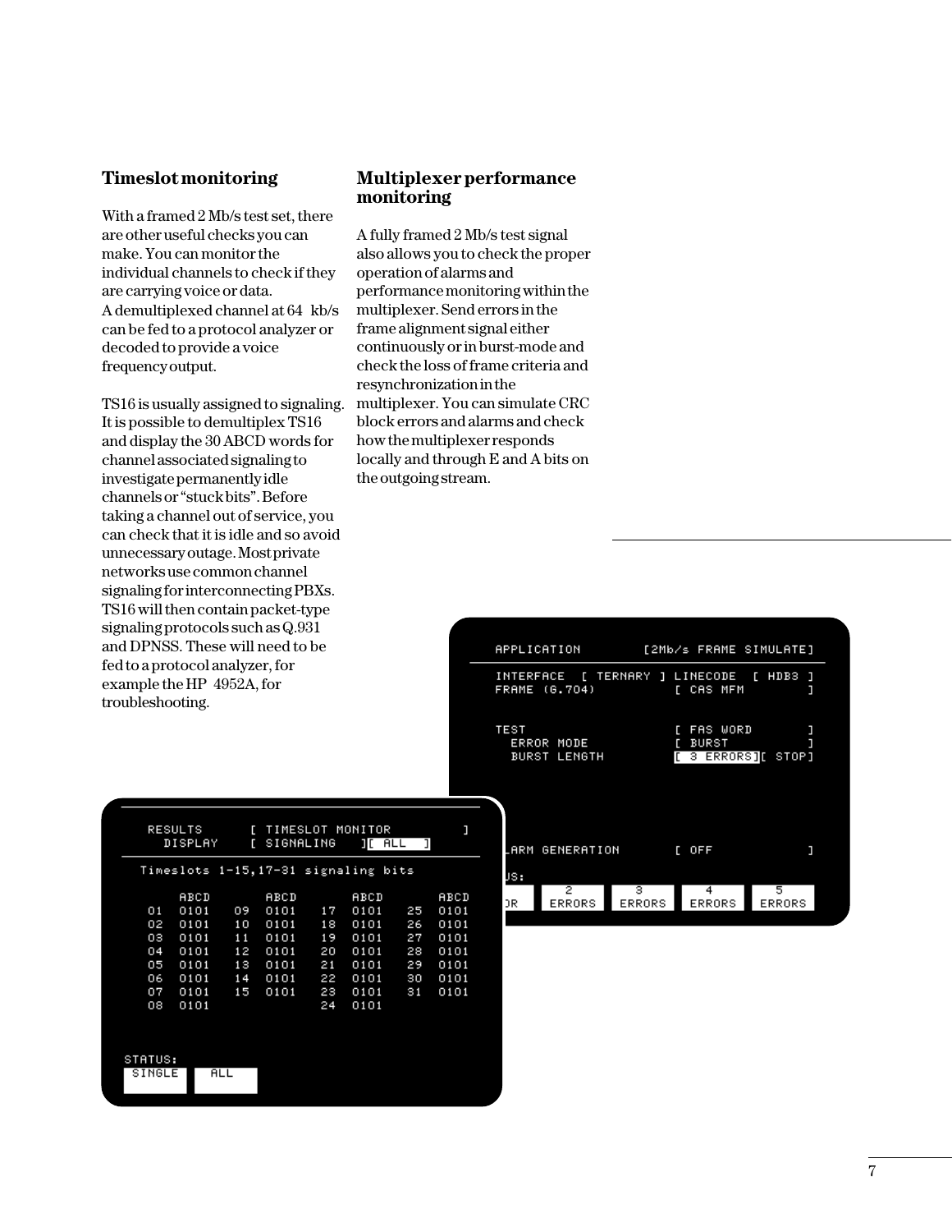## **Timeslot monitoring**

With a framed 2 Mb/s test set, there are other useful checks you can make. You can monitor the individual channels to check if they are carrying voice or data. A demultiplexed channel at 64 kb/s can be fed to a protocol analyzer or decoded to provide a voice frequency output.

TS16 is usually assigned to signaling. It is possible to demultiplex TS16 and display the 30 ABCD words for channel associated signaling to investigate permanently idle channels or "stuck bits". Before taking a channel out of service, you can check that it is idle and so avoid unnecessary outage. Most private networks use common channel signaling for interconnecting PBXs. TS16 will then contain packet-type signaling protocols such as Q.931 and DPNSS. These will need to be fed to a protocol analyzer, for example the HP 4952A, for troubleshooting.

## **Multiplexer performance monitoring**

A fully framed 2 Mb/s test signal also allows you to check the proper operation of alarms and performance monitoring within the multiplexer. Send errors in the frame alignment signal either continuously or in burst-mode and check the loss of frame criteria and resynchronization in the multiplexer. You can simulate CRC block errors and alarms and check how the multiplexer responds locally and through E and A bits on the outgoing stream.



|         | RESULTS<br>DISPLAY |     | [ SIGNALING |     | [ TIMESLOT MONITOR<br>∏[ ALL        | J  | J    |
|---------|--------------------|-----|-------------|-----|-------------------------------------|----|------|
|         |                    |     |             |     | Timeslots 1-15,17-31 signaling bits |    |      |
|         | ABCD               |     | ABCD        |     | ABCD                                |    | ABCD |
| 01      | 0101               | 09  | 0101        | 17  | 0101                                | 25 | 0101 |
| 02      | 0101               | 10  | 0101        | 18  | 0101                                | 26 | 0101 |
| 03      | 0101               | 11  | 0101        | 19. | 0101                                | 27 | 0101 |
| 04      | 0101               | 12  | 0101        | 20  | 0101                                | 28 | 0101 |
| 05      | 0101               | 13  | 0101        | 21  | 0101                                | 29 | 0101 |
| 06      | 0101               | 14  | 0101        | 22  | 0101                                | 30 | 0101 |
| 07      | 0101               | 15  | 0101        | 23  | 0101                                | 31 | 0101 |
| 08      | 0101               |     |             | 24  | 0101                                |    |      |
|         |                    |     |             |     |                                     |    |      |
|         |                    |     |             |     |                                     |    |      |
|         |                    |     |             |     |                                     |    |      |
| STATUS: |                    |     |             |     |                                     |    |      |
| SINGLE  |                    | ALL |             |     |                                     |    |      |
|         |                    |     |             |     |                                     |    |      |